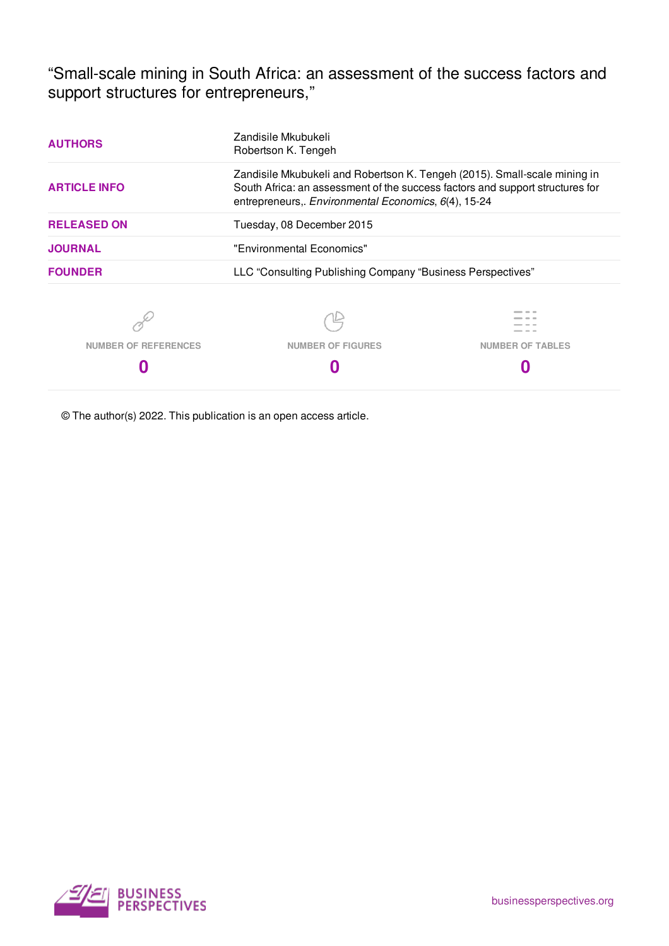"Small-scale mining in South Africa: an assessment of the success factors and support structures for entrepreneurs,"

| <b>AUTHORS</b>              | Zandisile Mkubukeli<br>Robertson K. Tengeh                                                                                                                                                                         |                         |
|-----------------------------|--------------------------------------------------------------------------------------------------------------------------------------------------------------------------------------------------------------------|-------------------------|
| <b>ARTICLE INFO</b>         | Zandisile Mkubukeli and Robertson K. Tengeh (2015). Small-scale mining in<br>South Africa: an assessment of the success factors and support structures for<br>entrepreneurs,. Environmental Economics, 6(4), 15-24 |                         |
| <b>RELEASED ON</b>          | Tuesday, 08 December 2015                                                                                                                                                                                          |                         |
| <b>JOURNAL</b>              | "Environmental Economics"                                                                                                                                                                                          |                         |
| <b>FOUNDER</b>              | LLC "Consulting Publishing Company "Business Perspectives"                                                                                                                                                         |                         |
|                             |                                                                                                                                                                                                                    |                         |
| <b>NUMBER OF REFERENCES</b> | <b>NUMBER OF FIGURES</b>                                                                                                                                                                                           | <b>NUMBER OF TABLES</b> |
|                             |                                                                                                                                                                                                                    |                         |

© The author(s) 2022. This publication is an open access article.

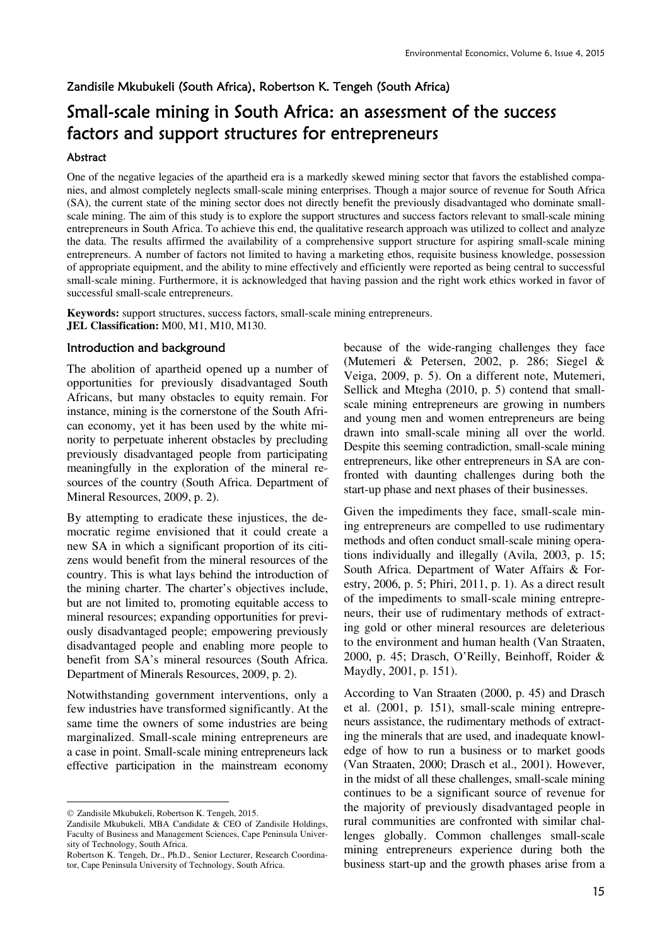# Zandisile Mkubukeli (South Africa), Robertson K. Tengeh (South Africa)

# Small-scale mining in South Africa: an assessment of the success factors and support structures for entrepreneurs

## **Abstract**

One of the negative legacies of the apartheid era is a markedly skewed mining sector that favors the established companies, and almost completely neglects small-scale mining enterprises. Though a major source of revenue for South Africa (SA), the current state of the mining sector does not directly benefit the previously disadvantaged who dominate smallscale mining. The aim of this study is to explore the support structures and success factors relevant to small-scale mining entrepreneurs in South Africa. To achieve this end, the qualitative research approach was utilized to collect and analyze the data. The results affirmed the availability of a comprehensive support structure for aspiring small-scale mining entrepreneurs. A number of factors not limited to having a marketing ethos, requisite business knowledge, possession of appropriate equipment, and the ability to mine effectively and efficiently were reported as being central to successful small-scale mining. Furthermore, it is acknowledged that having passion and the right work ethics worked in favor of successful small-scale entrepreneurs.

**Keywords:** support structures, success factors, small-scale mining entrepreneurs. **JEL Classification:** M00, M1, M10, M130.

## Introduction and background

The abolition of apartheid opened up a number of opportunities for previously disadvantaged South Africans, but many obstacles to equity remain. For instance, mining is the cornerstone of the South African economy, yet it has been used by the white minority to perpetuate inherent obstacles by precluding previously disadvantaged people from participating meaningfully in the exploration of the mineral resources of the country (South Africa. Department of Mineral Resources, 2009, p. 2).

By attempting to eradicate these injustices, the democratic regime envisioned that it could create a new SA in which a significant proportion of its citizens would benefit from the mineral resources of the country. This is what lays behind the introduction of the mining charter. The charter's objectives include, but are not limited to, promoting equitable access to mineral resources; expanding opportunities for previously disadvantaged people; empowering previously disadvantaged people and enabling more people to benefit from SA's mineral resources (South Africa. Department of Minerals Resources, 2009, p. 2).

Notwithstanding government interventions, only a few industries have transformed significantly. At the same time the owners of some industries are being marginalized. Small-scale mining entrepreneurs are a case in point. Small-scale mining entrepreneurs lack effective participation in the mainstream economy

-

because of the wide-ranging challenges they face (Mutemeri & Petersen, 2002, p. 286; Siegel & Veiga, 2009, p. 5). On a different note, Mutemeri, Sellick and Mtegha (2010, p. 5) contend that smallscale mining entrepreneurs are growing in numbers and young men and women entrepreneurs are being drawn into small-scale mining all over the world. Despite this seeming contradiction, small-scale mining entrepreneurs, like other entrepreneurs in SA are confronted with daunting challenges during both the start-up phase and next phases of their businesses.

Given the impediments they face, small-scale mining entrepreneurs are compelled to use rudimentary methods and often conduct small-scale mining operations individually and illegally (Avila, 2003, p. 15; South Africa. Department of Water Affairs & Forestry, 2006, p. 5; Phiri, 2011, p. 1). As a direct result of the impediments to small-scale mining entrepreneurs, their use of rudimentary methods of extracting gold or other mineral resources are deleterious to the environment and human health (Van Straaten, 2000, p. 45; Drasch, O'Reilly, Beinhoff, Roider & Maydly, 2001, p. 151).

According to Van Straaten (2000, p. 45) and Drasch et al. (2001, p. 151), small-scale mining entrepreneurs assistance, the rudimentary methods of extracting the minerals that are used, and inadequate knowledge of how to run a business or to market goods (Van Straaten, 2000; Drasch et al., 2001). However, in the midst of all these challenges, small-scale mining continues to be a significant source of revenue for the majority of previously disadvantaged people in rural communities are confronted with similar challenges globally. Common challenges small-scale mining entrepreneurs experience during both the business start-up and the growth phases arise from a

<sup>©</sup> Zandisile Mkubukeli, Robertson K. Tengeh, 2015.

Zandisile Mkubukeli, MBA Candidate & CEO of Zandisile Holdings, Faculty of Business and Management Sciences, Cape Peninsula University of Technology, South Africa.

Robertson K. Tengeh, Dr., Ph.D., Senior Lecturer, Research Coordinator, Cape Peninsula University of Technology, South Africa.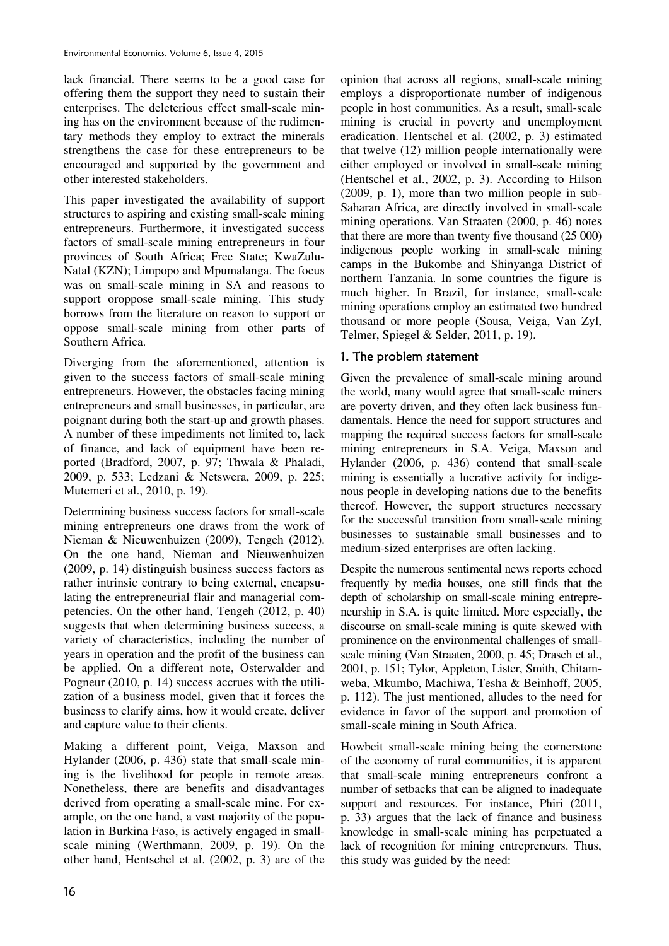lack financial. There seems to be a good case for offering them the support they need to sustain their enterprises. The deleterious effect small-scale mining has on the environment because of the rudimentary methods they employ to extract the minerals strengthens the case for these entrepreneurs to be encouraged and supported by the government and other interested stakeholders.

This paper investigated the availability of support structures to aspiring and existing small-scale mining entrepreneurs. Furthermore, it investigated success factors of small-scale mining entrepreneurs in four provinces of South Africa; Free State; KwaZulu-Natal (KZN); Limpopo and Mpumalanga. The focus was on small-scale mining in SA and reasons to support oroppose small-scale mining. This study borrows from the literature on reason to support or oppose small-scale mining from other parts of Southern Africa.

Diverging from the aforementioned, attention is given to the success factors of small-scale mining entrepreneurs. However, the obstacles facing mining entrepreneurs and small businesses, in particular, are poignant during both the start-up and growth phases. A number of these impediments not limited to, lack of finance, and lack of equipment have been reported (Bradford, 2007, p. 97; Thwala & Phaladi, 2009, p. 533; Ledzani & Netswera, 2009, p. 225; Mutemeri et al., 2010, p. 19).

Determining business success factors for small-scale mining entrepreneurs one draws from the work of Nieman & Nieuwenhuizen (2009), Tengeh (2012). On the one hand, Nieman and Nieuwenhuizen (2009, p. 14) distinguish business success factors as rather intrinsic contrary to being external, encapsulating the entrepreneurial flair and managerial competencies. On the other hand, Tengeh (2012, p. 40) suggests that when determining business success, a variety of characteristics, including the number of years in operation and the profit of the business can be applied. On a different note, Osterwalder and Pogneur (2010, p. 14) success accrues with the utilization of a business model, given that it forces the business to clarify aims, how it would create, deliver and capture value to their clients.

Making a different point, Veiga, Maxson and Hylander (2006, p. 436) state that small-scale mining is the livelihood for people in remote areas. Nonetheless, there are benefits and disadvantages derived from operating a small-scale mine. For example, on the one hand, a vast majority of the population in Burkina Faso, is actively engaged in smallscale mining (Werthmann, 2009, p. 19). On the other hand, Hentschel et al. (2002, p. 3) are of the

opinion that across all regions, small-scale mining employs a disproportionate number of indigenous people in host communities. As a result, small-scale mining is crucial in poverty and unemployment eradication. Hentschel et al. (2002, p. 3) estimated that twelve (12) million people internationally were either employed or involved in small-scale mining (Hentschel et al., 2002, p. 3). According to Hilson (2009, p. 1), more than two million people in sub-Saharan Africa, are directly involved in small-scale mining operations. Van Straaten (2000, p. 46) notes that there are more than twenty five thousand (25 000) indigenous people working in small-scale mining camps in the Bukombe and Shinyanga District of northern Tanzania. In some countries the figure is much higher. In Brazil, for instance, small-scale mining operations employ an estimated two hundred thousand or more people (Sousa, Veiga, Van Zyl, Telmer, Spiegel & Selder, 2011, p. 19).

# 1. The problem statement

Given the prevalence of small-scale mining around the world, many would agree that small-scale miners are poverty driven, and they often lack business fundamentals. Hence the need for support structures and mapping the required success factors for small-scale mining entrepreneurs in S.A. Veiga, Maxson and Hylander (2006, p. 436) contend that small-scale mining is essentially a lucrative activity for indigenous people in developing nations due to the benefits thereof. However, the support structures necessary for the successful transition from small-scale mining businesses to sustainable small businesses and to medium-sized enterprises are often lacking.

Despite the numerous sentimental news reports echoed frequently by media houses, one still finds that the depth of scholarship on small-scale mining entrepreneurship in S.A. is quite limited. More especially, the discourse on small-scale mining is quite skewed with prominence on the environmental challenges of smallscale mining (Van Straaten, 2000, p. 45; Drasch et al., 2001, p. 151; Tylor, Appleton, Lister, Smith, Chitamweba, Mkumbo, Machiwa, Tesha & Beinhoff, 2005, p. 112). The just mentioned, alludes to the need for evidence in favor of the support and promotion of small-scale mining in South Africa.

Howbeit small-scale mining being the cornerstone of the economy of rural communities, it is apparent that small-scale mining entrepreneurs confront a number of setbacks that can be aligned to inadequate support and resources. For instance, Phiri  $(2011, 100)$ p. 33) argues that the lack of finance and business knowledge in small-scale mining has perpetuated a lack of recognition for mining entrepreneurs. Thus, this study was guided by the need: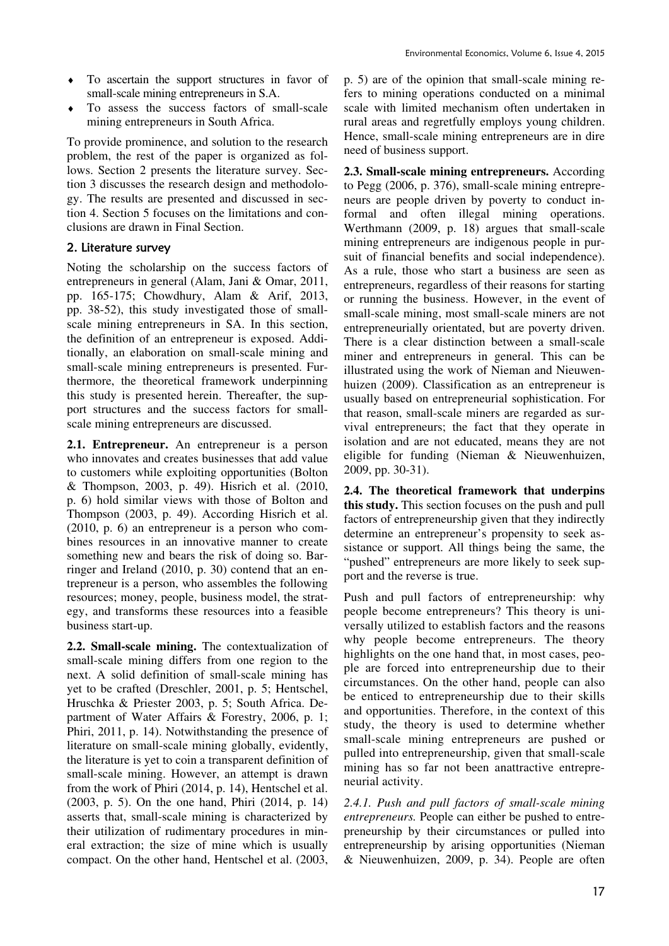- To ascertain the support structures in favor of small-scale mining entrepreneurs in S.A.
- ♦ To assess the success factors of small-scale mining entrepreneurs in South Africa.

To provide prominence, and solution to the research problem, the rest of the paper is organized as follows. Section 2 presents the literature survey. Section 3 discusses the research design and methodology. The results are presented and discussed in section 4. Section 5 focuses on the limitations and conclusions are drawn in Final Section.

## 2. Literature survey

Noting the scholarship on the success factors of entrepreneurs in general (Alam, Jani & Omar, 2011, pp. 165-175; Chowdhury, Alam & Arif, 2013, pp. 38-52), this study investigated those of smallscale mining entrepreneurs in SA. In this section, the definition of an entrepreneur is exposed. Additionally, an elaboration on small-scale mining and small-scale mining entrepreneurs is presented. Furthermore, the theoretical framework underpinning this study is presented herein. Thereafter, the support structures and the success factors for smallscale mining entrepreneurs are discussed.

**2.1. Entrepreneur.** An entrepreneur is a person who innovates and creates businesses that add value to customers while exploiting opportunities (Bolton & Thompson, 2003, p. 49). Hisrich et al. (2010, p. 6) hold similar views with those of Bolton and Thompson (2003, p. 49). According Hisrich et al. (2010, p. 6) an entrepreneur is a person who combines resources in an innovative manner to create something new and bears the risk of doing so. Barringer and Ireland (2010, p. 30) contend that an entrepreneur is a person, who assembles the following resources; money, people, business model, the strategy, and transforms these resources into a feasible business start-up.

**2.2. Small-scale mining.** The contextualization of small-scale mining differs from one region to the next. A solid definition of small-scale mining has yet to be crafted (Dreschler, 2001, p. 5; Hentschel, Hruschka & Priester 2003, p. 5; South Africa. Department of Water Affairs & Forestry, 2006, p. 1; Phiri, 2011, p. 14). Notwithstanding the presence of literature on small-scale mining globally, evidently, the literature is yet to coin a transparent definition of small-scale mining. However, an attempt is drawn from the work of Phiri (2014, p. 14), Hentschel et al. (2003, p. 5). On the one hand, Phiri (2014, p. 14) asserts that, small-scale mining is characterized by their utilization of rudimentary procedures in mineral extraction; the size of mine which is usually compact. On the other hand, Hentschel et al. (2003,

p. 5) are of the opinion that small-scale mining refers to mining operations conducted on a minimal scale with limited mechanism often undertaken in rural areas and regretfully employs young children. Hence, small-scale mining entrepreneurs are in dire need of business support.

**2.3. Small-scale mining entrepreneurs.** According to Pegg (2006, p. 376), small-scale mining entrepreneurs are people driven by poverty to conduct informal and often illegal mining operations. Werthmann (2009, p. 18) argues that small-scale mining entrepreneurs are indigenous people in pursuit of financial benefits and social independence). As a rule, those who start a business are seen as entrepreneurs, regardless of their reasons for starting or running the business. However, in the event of small-scale mining, most small-scale miners are not entrepreneurially orientated, but are poverty driven. There is a clear distinction between a small-scale miner and entrepreneurs in general. This can be illustrated using the work of Nieman and Nieuwenhuizen (2009). Classification as an entrepreneur is usually based on entrepreneurial sophistication. For that reason, small-scale miners are regarded as survival entrepreneurs; the fact that they operate in isolation and are not educated, means they are not eligible for funding (Nieman & Nieuwenhuizen, 2009, pp. 30-31).

**2.4. The theoretical framework that underpins this study.** This section focuses on the push and pull factors of entrepreneurship given that they indirectly determine an entrepreneur's propensity to seek assistance or support. All things being the same, the "pushed" entrepreneurs are more likely to seek support and the reverse is true.

Push and pull factors of entrepreneurship: why people become entrepreneurs? This theory is universally utilized to establish factors and the reasons why people become entrepreneurs. The theory highlights on the one hand that, in most cases, people are forced into entrepreneurship due to their circumstances. On the other hand, people can also be enticed to entrepreneurship due to their skills and opportunities. Therefore, in the context of this study, the theory is used to determine whether small-scale mining entrepreneurs are pushed or pulled into entrepreneurship, given that small-scale mining has so far not been anattractive entrepreneurial activity.

*2.4.1. Push and pull factors of small-scale mining entrepreneurs.* People can either be pushed to entrepreneurship by their circumstances or pulled into entrepreneurship by arising opportunities (Nieman & Nieuwenhuizen, 2009, p. 34). People are often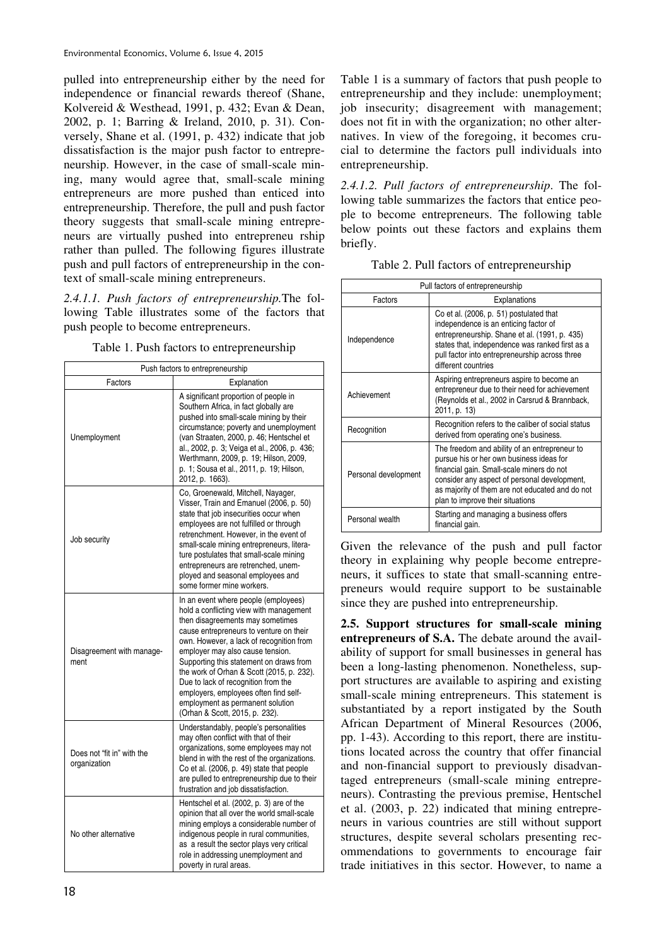pulled into entrepreneurship either by the need for independence or financial rewards thereof (Shane, Kolvereid & Westhead, 1991, p. 432; Evan & Dean, 2002, p. 1; Barring & Ireland, 2010, p. 31). Conversely, Shane et al. (1991, p. 432) indicate that job dissatisfaction is the major push factor to entrepreneurship. However, in the case of small-scale mining, many would agree that, small-scale mining entrepreneurs are more pushed than enticed into entrepreneurship. Therefore, the pull and push factor theory suggests that small-scale mining entrepreneurs are virtually pushed into entrepreneu rship rather than pulled. The following figures illustrate push and pull factors of entrepreneurship in the context of small-scale mining entrepreneurs.

*2.4.1.1. Push factors of entrepreneurship.*The following Table illustrates some of the factors that push people to become entrepreneurs.

| Push factors to entrepreneurship           |                                                                                                                                                                                                                                                                                                                                                                                                                                                                                              |  |
|--------------------------------------------|----------------------------------------------------------------------------------------------------------------------------------------------------------------------------------------------------------------------------------------------------------------------------------------------------------------------------------------------------------------------------------------------------------------------------------------------------------------------------------------------|--|
| Factors                                    | Explanation                                                                                                                                                                                                                                                                                                                                                                                                                                                                                  |  |
| Unemployment                               | A significant proportion of people in<br>Southern Africa, in fact globally are<br>pushed into small-scale mining by their<br>circumstance; poverty and unemployment<br>(van Straaten, 2000, p. 46; Hentschel et<br>al., 2002, p. 3; Veiga et al., 2006, p. 436;<br>Werthmann, 2009, p. 19; Hilson, 2009,<br>p. 1; Sousa et al., 2011, p. 19; Hilson,<br>2012, p. 1663).                                                                                                                      |  |
| Job security                               | Co, Groenewald, Mitchell, Nayager,<br>Visser, Train and Emanuel (2006, p. 50)<br>state that job insecurities occur when<br>employees are not fulfilled or through<br>retrenchment. However, in the event of<br>small-scale mining entrepreneurs, litera-<br>ture postulates that small-scale mining<br>entrepreneurs are retrenched, unem-<br>ployed and seasonal employees and<br>some former mine workers.                                                                                 |  |
| Disagreement with manage-<br>ment          | In an event where people (employees)<br>hold a conflicting view with management<br>then disagreements may sometimes<br>cause entrepreneurs to venture on their<br>own. However, a lack of recognition from<br>employer may also cause tension.<br>Supporting this statement on draws from<br>the work of Orhan & Scott (2015, p. 232).<br>Due to lack of recognition from the<br>employers, employees often find self-<br>employment as permanent solution<br>(Orhan & Scott, 2015, p. 232). |  |
| Does not "fit in" with the<br>organization | Understandably, people's personalities<br>may often conflict with that of their<br>organizations, some employees may not<br>blend in with the rest of the organizations.<br>Co et al. (2006, p. 49) state that people<br>are pulled to entrepreneurship due to their<br>frustration and job dissatisfaction.                                                                                                                                                                                 |  |
| No other alternative                       | Hentschel et al. (2002, p. 3) are of the<br>opinion that all over the world small-scale<br>mining employs a considerable number of<br>indigenous people in rural communities,<br>as a result the sector plays very critical<br>role in addressing unemployment and<br>poverty in rural areas.                                                                                                                                                                                                |  |

Table 1. Push factors to entrepreneurship

Table 1 is a summary of factors that push people to entrepreneurship and they include: unemployment; job insecurity; disagreement with management; does not fit in with the organization; no other alternatives. In view of the foregoing, it becomes crucial to determine the factors pull individuals into entrepreneurship.

*2.4.1.2. Pull factors of entrepreneurship*. The following table summarizes the factors that entice people to become entrepreneurs. The following table below points out these factors and explains them briefly.

|  |  | Table 2. Pull factors of entrepreneurship |  |
|--|--|-------------------------------------------|--|
|  |  |                                           |  |

| Pull factors of entrepreneurship |                                                                                                                                                                                                                                                                               |  |
|----------------------------------|-------------------------------------------------------------------------------------------------------------------------------------------------------------------------------------------------------------------------------------------------------------------------------|--|
| Factors                          | Explanations                                                                                                                                                                                                                                                                  |  |
| Independence                     | Co et al. (2006, p. 51) postulated that<br>independence is an enticing factor of<br>entrepreneurship. Shane et al. (1991, p. 435)<br>states that, independence was ranked first as a<br>pull factor into entrepreneurship across three<br>different countries                 |  |
| Achievement                      | Aspiring entrepreneurs aspire to become an<br>entrepreneur due to their need for achievement<br>(Reynolds et al., 2002 in Carsrud & Brannback,<br>2011, p. 13)                                                                                                                |  |
| Recognition                      | Recognition refers to the caliber of social status<br>derived from operating one's business.                                                                                                                                                                                  |  |
| Personal development             | The freedom and ability of an entrepreneur to<br>pursue his or her own business ideas for<br>financial gain. Small-scale miners do not<br>consider any aspect of personal development,<br>as majority of them are not educated and do not<br>plan to improve their situations |  |
| Personal wealth                  | Starting and managing a business offers<br>financial gain.                                                                                                                                                                                                                    |  |

Given the relevance of the push and pull factor theory in explaining why people become entrepreneurs, it suffices to state that small-scanning entrepreneurs would require support to be sustainable since they are pushed into entrepreneurship.

**2.5. Support structures for small-scale mining entrepreneurs of S.A.** The debate around the availability of support for small businesses in general has been a long-lasting phenomenon. Nonetheless, support structures are available to aspiring and existing small-scale mining entrepreneurs. This statement is substantiated by a report instigated by the South African Department of Mineral Resources (2006, pp. 1-43). According to this report, there are institutions located across the country that offer financial and non-financial support to previously disadvantaged entrepreneurs (small-scale mining entrepreneurs). Contrasting the previous premise, Hentschel et al. (2003, p. 22) indicated that mining entrepreneurs in various countries are still without support structures, despite several scholars presenting recommendations to governments to encourage fair trade initiatives in this sector. However, to name a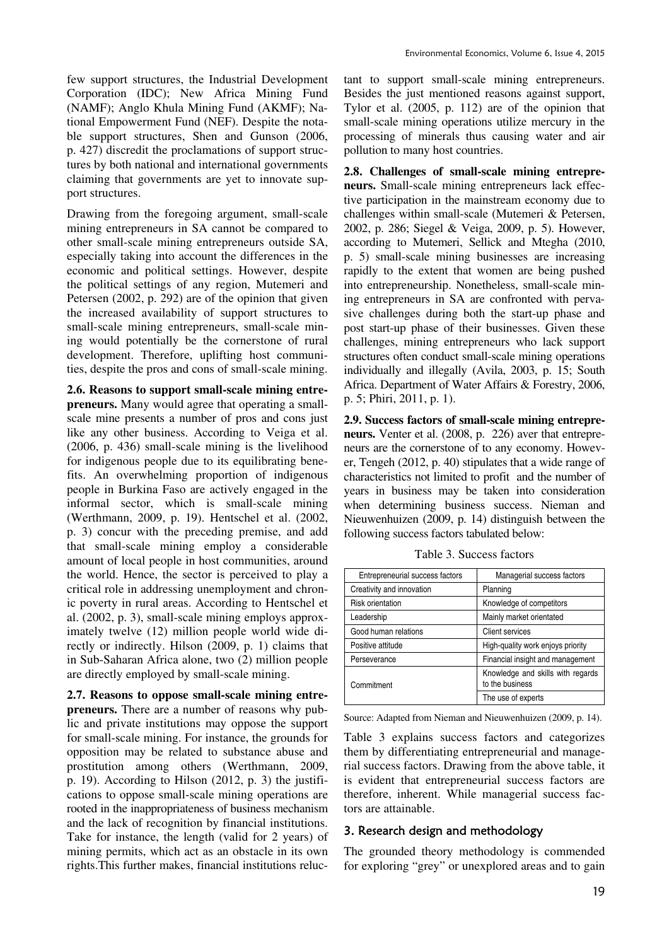few support structures, the Industrial Development Corporation (IDC); New Africa Mining Fund (NAMF); Anglo Khula Mining Fund (AKMF); National Empowerment Fund (NEF). Despite the notable support structures, Shen and Gunson (2006, p. 427) discredit the proclamations of support structures by both national and international governments claiming that governments are yet to innovate support structures.

Drawing from the foregoing argument, small-scale mining entrepreneurs in SA cannot be compared to other small-scale mining entrepreneurs outside SA, especially taking into account the differences in the economic and political settings. However, despite the political settings of any region, Mutemeri and Petersen (2002, p. 292) are of the opinion that given the increased availability of support structures to small-scale mining entrepreneurs, small-scale mining would potentially be the cornerstone of rural development. Therefore, uplifting host communities, despite the pros and cons of small-scale mining.

**2.6. Reasons to support small-scale mining entrepreneurs.** Many would agree that operating a smallscale mine presents a number of pros and cons just like any other business. According to Veiga et al. (2006, p. 436) small-scale mining is the livelihood for indigenous people due to its equilibrating benefits. An overwhelming proportion of indigenous people in Burkina Faso are actively engaged in the informal sector, which is small-scale mining (Werthmann, 2009, p. 19). Hentschel et al. (2002, p. 3) concur with the preceding premise, and add that small-scale mining employ a considerable amount of local people in host communities, around the world. Hence, the sector is perceived to play a critical role in addressing unemployment and chronic poverty in rural areas. According to Hentschel et al. (2002, p. 3), small-scale mining employs approximately twelve (12) million people world wide directly or indirectly. Hilson (2009, p. 1) claims that in Sub-Saharan Africa alone, two (2) million people are directly employed by small-scale mining.

**2.7. Reasons to oppose small-scale mining entrepreneurs.** There are a number of reasons why public and private institutions may oppose the support for small-scale mining. For instance, the grounds for opposition may be related to substance abuse and prostitution among others (Werthmann, 2009, p. 19). According to Hilson (2012, p. 3) the justifications to oppose small-scale mining operations are rooted in the inappropriateness of business mechanism and the lack of recognition by financial institutions. Take for instance, the length (valid for 2 years) of mining permits, which act as an obstacle in its own rights.This further makes, financial institutions reluctant to support small-scale mining entrepreneurs. Besides the just mentioned reasons against support, Tylor et al. (2005, p. 112) are of the opinion that small-scale mining operations utilize mercury in the processing of minerals thus causing water and air pollution to many host countries.

**2.8. Challenges of small-scale mining entrepreneurs.** Small-scale mining entrepreneurs lack effective participation in the mainstream economy due to challenges within small-scale (Mutemeri & Petersen, 2002, p. 286; Siegel & Veiga, 2009, p. 5). However, according to Mutemeri, Sellick and Mtegha (2010, p. 5) small-scale mining businesses are increasing rapidly to the extent that women are being pushed into entrepreneurship. Nonetheless, small-scale mining entrepreneurs in SA are confronted with pervasive challenges during both the start-up phase and post start-up phase of their businesses. Given these challenges, mining entrepreneurs who lack support structures often conduct small-scale mining operations individually and illegally (Avila, 2003, p. 15; South Africa. Department of Water Affairs & Forestry, 2006, p. 5; Phiri, 2011, p. 1).

**2.9. Success factors of small-scale mining entrepreneurs.** Venter et al. (2008, p. 226) aver that entrepreneurs are the cornerstone of to any economy. However, Tengeh (2012, p. 40) stipulates that a wide range of characteristics not limited to profit and the number of years in business may be taken into consideration when determining business success. Nieman and Nieuwenhuizen (2009, p. 14) distinguish between the following success factors tabulated below:

| Entrepreneurial success factors | Managerial success factors                           |
|---------------------------------|------------------------------------------------------|
| Creativity and innovation       | Planning                                             |
| <b>Risk orientation</b>         | Knowledge of competitors                             |
| Leadership                      | Mainly market orientated                             |
| Good human relations            | <b>Client services</b>                               |
| Positive attitude               | High-quality work enjoys priority                    |
| Perseverance                    | Financial insight and management                     |
| Commitment                      | Knowledge and skills with regards<br>to the business |
|                                 | The use of experts                                   |

Table 3. Success factors

Source: Adapted from Nieman and Nieuwenhuizen (2009, p. 14).

Table 3 explains success factors and categorizes them by differentiating entrepreneurial and managerial success factors. Drawing from the above table, it is evident that entrepreneurial success factors are therefore, inherent. While managerial success factors are attainable.

## 3. Research design and methodology

The grounded theory methodology is commended for exploring "grey" or unexplored areas and to gain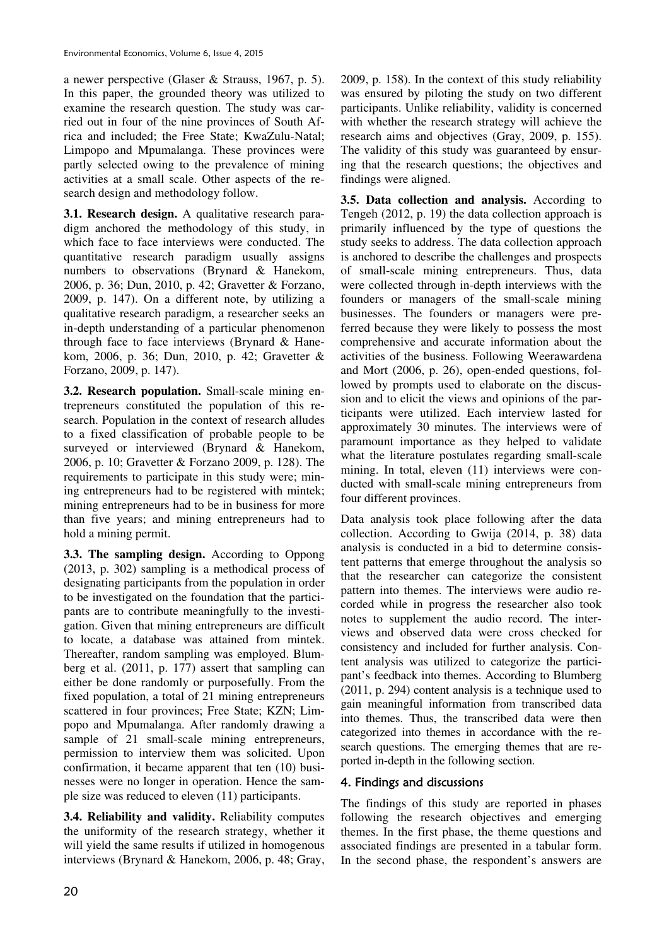a newer perspective (Glaser & Strauss, 1967, p. 5). In this paper, the grounded theory was utilized to examine the research question. The study was carried out in four of the nine provinces of South Africa and included; the Free State; KwaZulu-Natal; Limpopo and Mpumalanga. These provinces were partly selected owing to the prevalence of mining activities at a small scale. Other aspects of the research design and methodology follow.

**3.1. Research design.** A qualitative research paradigm anchored the methodology of this study, in which face to face interviews were conducted. The quantitative research paradigm usually assigns numbers to observations (Brynard & Hanekom, 2006, p. 36; Dun, 2010, p. 42; Gravetter & Forzano, 2009, p. 147). On a different note, by utilizing a qualitative research paradigm, a researcher seeks an in-depth understanding of a particular phenomenon through face to face interviews (Brynard & Hanekom, 2006, p. 36; Dun, 2010, p. 42; Gravetter & Forzano, 2009, p. 147).

**3.2. Research population.** Small-scale mining entrepreneurs constituted the population of this research. Population in the context of research alludes to a fixed classification of probable people to be surveyed or interviewed (Brynard & Hanekom, 2006, p. 10; Gravetter & Forzano 2009, p. 128). The requirements to participate in this study were; mining entrepreneurs had to be registered with mintek; mining entrepreneurs had to be in business for more than five years; and mining entrepreneurs had to hold a mining permit.

**3.3. The sampling design.** According to Oppong (2013, p. 302) sampling is a methodical process of designating participants from the population in order to be investigated on the foundation that the participants are to contribute meaningfully to the investigation. Given that mining entrepreneurs are difficult to locate, a database was attained from mintek. Thereafter, random sampling was employed. Blumberg et al. (2011, p. 177) assert that sampling can either be done randomly or purposefully. From the fixed population, a total of 21 mining entrepreneurs scattered in four provinces; Free State; KZN; Limpopo and Mpumalanga. After randomly drawing a sample of 21 small-scale mining entrepreneurs, permission to interview them was solicited. Upon confirmation, it became apparent that ten (10) businesses were no longer in operation. Hence the sample size was reduced to eleven (11) participants.

**3.4. Reliability and validity.** Reliability computes the uniformity of the research strategy, whether it will yield the same results if utilized in homogenous interviews (Brynard & Hanekom, 2006, p. 48; Gray,

2009, p. 158). In the context of this study reliability was ensured by piloting the study on two different participants. Unlike reliability, validity is concerned with whether the research strategy will achieve the research aims and objectives (Gray, 2009, p. 155). The validity of this study was guaranteed by ensuring that the research questions; the objectives and findings were aligned.

**3.5. Data collection and analysis.** According to Tengeh (2012, p. 19) the data collection approach is primarily influenced by the type of questions the study seeks to address. The data collection approach is anchored to describe the challenges and prospects of small-scale mining entrepreneurs. Thus, data were collected through in-depth interviews with the founders or managers of the small-scale mining businesses. The founders or managers were preferred because they were likely to possess the most comprehensive and accurate information about the activities of the business. Following Weerawardena and Mort (2006, p. 26), open-ended questions, followed by prompts used to elaborate on the discussion and to elicit the views and opinions of the participants were utilized. Each interview lasted for approximately 30 minutes. The interviews were of paramount importance as they helped to validate what the literature postulates regarding small-scale mining. In total, eleven (11) interviews were conducted with small-scale mining entrepreneurs from four different provinces.

Data analysis took place following after the data collection. According to Gwija (2014, p. 38) data analysis is conducted in a bid to determine consistent patterns that emerge throughout the analysis so that the researcher can categorize the consistent pattern into themes. The interviews were audio recorded while in progress the researcher also took notes to supplement the audio record. The interviews and observed data were cross checked for consistency and included for further analysis. Content analysis was utilized to categorize the participant's feedback into themes. According to Blumberg (2011, p. 294) content analysis is a technique used to gain meaningful information from transcribed data into themes. Thus, the transcribed data were then categorized into themes in accordance with the research questions. The emerging themes that are reported in-depth in the following section.

# 4. Findings and discussions

The findings of this study are reported in phases following the research objectives and emerging themes. In the first phase, the theme questions and associated findings are presented in a tabular form. In the second phase, the respondent's answers are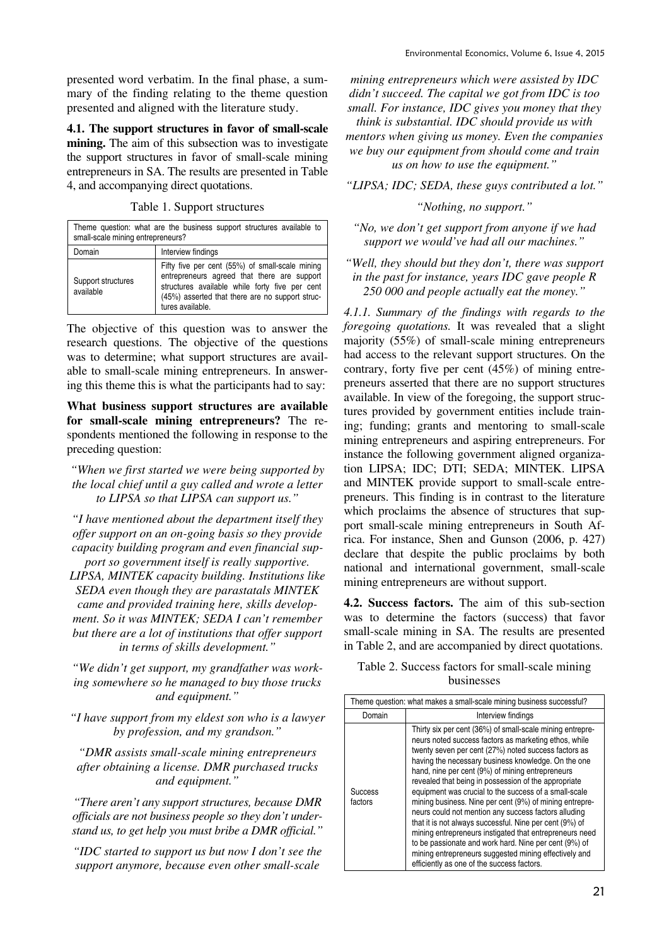presented word verbatim. In the final phase, a summary of the finding relating to the theme question presented and aligned with the literature study.

**4.1. The support structures in favor of small-scale mining.** The aim of this subsection was to investigate the support structures in favor of small-scale mining entrepreneurs in SA. The results are presented in Table 4, and accompanying direct quotations.

Table 1. Support structures

| Theme question: what are the business support structures available to<br>small-scale mining entrepreneurs? |                                                                                                                                                                                                                         |
|------------------------------------------------------------------------------------------------------------|-------------------------------------------------------------------------------------------------------------------------------------------------------------------------------------------------------------------------|
| Domain                                                                                                     | Interview findings                                                                                                                                                                                                      |
| Support structures<br>available                                                                            | Fifty five per cent (55%) of small-scale mining<br>entrepreneurs agreed that there are support<br>structures available while forty five per cent<br>(45%) asserted that there are no support struc-<br>tures available. |

The objective of this question was to answer the research questions. The objective of the questions was to determine; what support structures are available to small-scale mining entrepreneurs. In answering this theme this is what the participants had to say:

**What business support structures are available for small-scale mining entrepreneurs?** The respondents mentioned the following in response to the preceding question:

*"When we first started we were being supported by the local chief until a guy called and wrote a letter to LIPSA so that LIPSA can support us."*

*"I have mentioned about the department itself they offer support on an on-going basis so they provide capacity building program and even financial support so government itself is really supportive. LIPSA, MINTEK capacity building. Institutions like SEDA even though they are parastatals MINTEK came and provided training here, skills development. So it was MINTEK; SEDA I can't remember but there are a lot of institutions that offer support in terms of skills development."*

*"We didn't get support, my grandfather was working somewhere so he managed to buy those trucks and equipment."*

*"I have support from my eldest son who is a lawyer by profession, and my grandson."*

*"DMR assists small-scale mining entrepreneurs after obtaining a license. DMR purchased trucks and equipment."*

*"There aren't any support structures, because DMR officials are not business people so they don't understand us, to get help you must bribe a DMR official."* 

*"IDC started to support us but now I don't see the support anymore, because even other small-scale* 

*mining entrepreneurs which were assisted by IDC didn't succeed. The capital we got from IDC is too small. For instance, IDC gives you money that they think is substantial. IDC should provide us with mentors when giving us money. Even the companies we buy our equipment from should come and train us on how to use the equipment."*

*"LIPSA; IDC; SEDA, these guys contributed a lot."* 

*"Nothing, no support."*

*"No, we don't get support from anyone if we had support we would've had all our machines."*

*"Well, they should but they don't, there was support in the past for instance, years IDC gave people R 250 000 and people actually eat the money."* 

*4.1.1. Summary of the findings with regards to the foregoing quotations.* It was revealed that a slight majority (55%) of small-scale mining entrepreneurs had access to the relevant support structures. On the contrary, forty five per cent (45%) of mining entrepreneurs asserted that there are no support structures available. In view of the foregoing, the support structures provided by government entities include training; funding; grants and mentoring to small-scale mining entrepreneurs and aspiring entrepreneurs. For instance the following government aligned organization LIPSA; IDC; DTI; SEDA; MINTEK. LIPSA and MINTEK provide support to small-scale entrepreneurs. This finding is in contrast to the literature which proclaims the absence of structures that support small-scale mining entrepreneurs in South Africa. For instance, Shen and Gunson (2006, p. 427) declare that despite the public proclaims by both national and international government, small-scale mining entrepreneurs are without support.

**4.2. Success factors.** The aim of this sub-section was to determine the factors (success) that favor small-scale mining in SA. The results are presented in Table 2, and are accompanied by direct quotations.

Table 2. Success factors for small-scale mining businesses

| Theme question: what makes a small-scale mining business successful? |                                                                                                                                                                                                                                                                                                                                                                                                                                                                                                                                                                                                                                                                                                                                                                                                                 |
|----------------------------------------------------------------------|-----------------------------------------------------------------------------------------------------------------------------------------------------------------------------------------------------------------------------------------------------------------------------------------------------------------------------------------------------------------------------------------------------------------------------------------------------------------------------------------------------------------------------------------------------------------------------------------------------------------------------------------------------------------------------------------------------------------------------------------------------------------------------------------------------------------|
| Domain                                                               | Interview findings                                                                                                                                                                                                                                                                                                                                                                                                                                                                                                                                                                                                                                                                                                                                                                                              |
| <b>Success</b><br>factors                                            | Thirty six per cent (36%) of small-scale mining entrepre-<br>neurs noted success factors as marketing ethos, while<br>twenty seven per cent (27%) noted success factors as<br>having the necessary business knowledge. On the one<br>hand, nine per cent (9%) of mining entrepreneurs<br>revealed that being in possession of the appropriate<br>equipment was crucial to the success of a small-scale<br>mining business. Nine per cent (9%) of mining entrepre-<br>neurs could not mention any success factors alluding<br>that it is not always successful. Nine per cent (9%) of<br>mining entrepreneurs instigated that entrepreneurs need<br>to be passionate and work hard. Nine per cent (9%) of<br>mining entrepreneurs suggested mining effectively and<br>efficiently as one of the success factors. |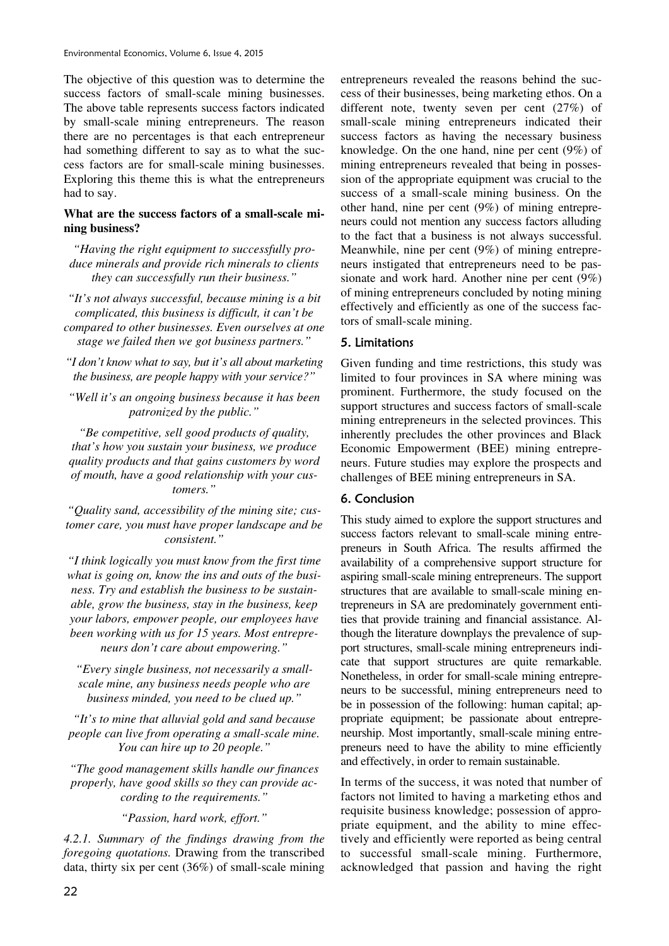The objective of this question was to determine the success factors of small-scale mining businesses. The above table represents success factors indicated by small-scale mining entrepreneurs. The reason there are no percentages is that each entrepreneur had something different to say as to what the success factors are for small-scale mining businesses. Exploring this theme this is what the entrepreneurs had to say.

## **What are the success factors of a small-scale mining business?**

*"Having the right equipment to successfully produce minerals and provide rich minerals to clients they can successfully run their business."* 

*"It's not always successful, because mining is a bit complicated, this business is difficult, it can't be compared to other businesses. Even ourselves at one stage we failed then we got business partners."*

*"I don't know what to say, but it's all about marketing the business, are people happy with your service?"*

*"Well it's an ongoing business because it has been patronized by the public."*

*"Be competitive, sell good products of quality, that's how you sustain your business, we produce quality products and that gains customers by word of mouth, have a good relationship with your customers."* 

*"Quality sand, accessibility of the mining site; customer care, you must have proper landscape and be consistent."*

*"I think logically you must know from the first time what is going on, know the ins and outs of the business. Try and establish the business to be sustainable, grow the business, stay in the business, keep your labors, empower people, our employees have been working with us for 15 years. Most entrepreneurs don't care about empowering."*

*"Every single business, not necessarily a smallscale mine, any business needs people who are business minded, you need to be clued up."*

*"It's to mine that alluvial gold and sand because people can live from operating a small-scale mine. You can hire up to 20 people."*

*"The good management skills handle our finances properly, have good skills so they can provide according to the requirements."*

*"Passion, hard work, effort."* 

*4.2.1. Summary of the findings drawing from the foregoing quotations.* Drawing from the transcribed data, thirty six per cent (36%) of small-scale mining

entrepreneurs revealed the reasons behind the success of their businesses, being marketing ethos. On a different note, twenty seven per cent (27%) of small-scale mining entrepreneurs indicated their success factors as having the necessary business knowledge. On the one hand, nine per cent (9%) of mining entrepreneurs revealed that being in possession of the appropriate equipment was crucial to the success of a small-scale mining business. On the other hand, nine per cent (9%) of mining entrepreneurs could not mention any success factors alluding to the fact that a business is not always successful. Meanwhile, nine per cent (9%) of mining entrepreneurs instigated that entrepreneurs need to be passionate and work hard. Another nine per cent (9%) of mining entrepreneurs concluded by noting mining effectively and efficiently as one of the success factors of small-scale mining.

## 5. Limitations

Given funding and time restrictions, this study was limited to four provinces in SA where mining was prominent. Furthermore, the study focused on the support structures and success factors of small-scale mining entrepreneurs in the selected provinces. This inherently precludes the other provinces and Black Economic Empowerment (BEE) mining entrepreneurs. Future studies may explore the prospects and challenges of BEE mining entrepreneurs in SA.

## 6. Conclusion

This study aimed to explore the support structures and success factors relevant to small-scale mining entrepreneurs in South Africa. The results affirmed the availability of a comprehensive support structure for aspiring small-scale mining entrepreneurs. The support structures that are available to small-scale mining entrepreneurs in SA are predominately government entities that provide training and financial assistance. Although the literature downplays the prevalence of support structures, small-scale mining entrepreneurs indicate that support structures are quite remarkable. Nonetheless, in order for small-scale mining entrepreneurs to be successful, mining entrepreneurs need to be in possession of the following: human capital; appropriate equipment; be passionate about entrepreneurship. Most importantly, small-scale mining entrepreneurs need to have the ability to mine efficiently and effectively, in order to remain sustainable.

In terms of the success, it was noted that number of factors not limited to having a marketing ethos and requisite business knowledge; possession of appropriate equipment, and the ability to mine effectively and efficiently were reported as being central to successful small-scale mining. Furthermore, acknowledged that passion and having the right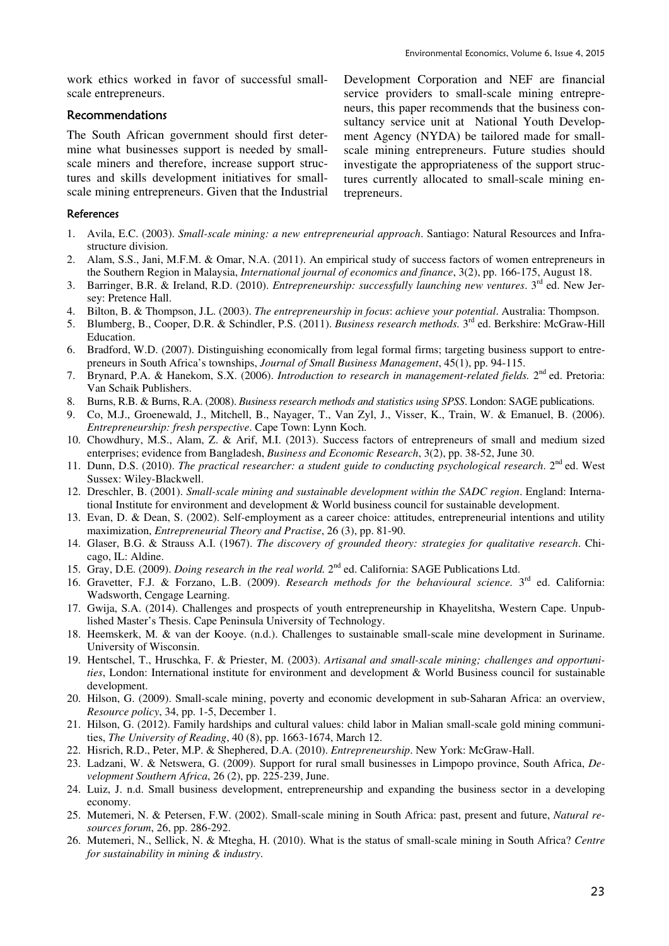work ethics worked in favor of successful smallscale entrepreneurs.

### Recommendations

The South African government should first determine what businesses support is needed by smallscale miners and therefore, increase support structures and skills development initiatives for smallscale mining entrepreneurs. Given that the Industrial Development Corporation and NEF are financial service providers to small-scale mining entrepreneurs, this paper recommends that the business consultancy service unit at National Youth Development Agency (NYDA) be tailored made for smallscale mining entrepreneurs. Future studies should investigate the appropriateness of the support structures currently allocated to small-scale mining entrepreneurs.

#### References

- 1. Avila, E.C. (2003). *Small-scale mining: a new entrepreneurial approach*. Santiago: Natural Resources and Infrastructure division.
- 2. Alam, S.S., Jani, M.F.M. & Omar, N.A. (2011). An empirical study of success factors of women entrepreneurs in the Southern Region in Malaysia, *International journal of economics and finance*, 3(2), pp. 166-175, August 18.
- 3. Barringer, B.R. & Ireland, R.D. (2010). *Entrepreneurship: successfully launching new ventures*. 3rd ed. New Jersey: Pretence Hall.
- 4. Bilton, B. & Thompson, J.L. (2003). *The entrepreneurship in focus*: *achieve your potential*. Australia: Thompson.
- 5. Blumberg, B., Cooper, D.R. & Schindler, P.S. (2011). *Business research methods*. 3<sup>rd</sup> ed. Berkshire: McGraw-Hill Education.
- 6. Bradford, W.D. (2007). Distinguishing economically from legal formal firms; targeting business support to entrepreneurs in South Africa's townships, *Journal of Small Business Management*, 45(1), pp. 94-115.
- 7. Brynard, P.A. & Hanekom, S.X. (2006). *Introduction to research in management-related fields*. 2<sup>nd</sup> ed. Pretoria: Van Schaik Publishers.
- 8. Burns, R.B. & Burns, R.A. (2008). *Business research methods and statistics using SPSS*. London: SAGE publications.
- 9. Co, M.J., Groenewald, J., Mitchell, B., Nayager, T., Van Zyl, J., Visser, K., Train, W. & Emanuel, B. (2006). *Entrepreneurship: fresh perspective*. Cape Town: Lynn Koch.
- 10. Chowdhury, M.S., Alam, Z. & Arif, M.I. (2013). Success factors of entrepreneurs of small and medium sized enterprises; evidence from Bangladesh, *Business and Economic Research*, 3(2), pp. 38-52, June 30.
- 11. Dunn, D.S. (2010). The practical researcher: a student guide to conducting psychological research. 2<sup>nd</sup> ed. West Sussex: Wiley-Blackwell.
- 12. Dreschler, B. (2001). *Small-scale mining and sustainable development within the SADC region*. England: International Institute for environment and development & World business council for sustainable development.
- 13. Evan, D. & Dean, S. (2002). Self-employment as a career choice: attitudes, entrepreneurial intentions and utility maximization, *Entrepreneurial Theory and Practise*, 26 (3), pp. 81-90.
- 14. Glaser, B.G. & Strauss A.I. (1967). *The discovery of grounded theory: strategies for qualitative research*. Chicago, IL: Aldine.
- 15. Gray, D.E. (2009). *Doing research in the real world*. 2<sup>nd</sup> ed. California: SAGE Publications Ltd.
- 16. Gravetter, F.J. & Forzano, L.B. (2009). *Research methods for the behavioural science*. 3<sup>rd</sup> ed. California: Wadsworth, Cengage Learning.
- 17. Gwija, S.A. (2014). Challenges and prospects of youth entrepreneurship in Khayelitsha, Western Cape. Unpublished Master's Thesis. Cape Peninsula University of Technology.
- 18. Heemskerk, M. & van der Kooye. (n.d.). Challenges to sustainable small-scale mine development in Suriname. University of Wisconsin.
- 19. Hentschel, T., Hruschka, F. & Priester, M. (2003). *Artisanal and small-scale mining; challenges and opportunities*, London: International institute for environment and development & World Business council for sustainable development.
- 20. Hilson, G. (2009). Small-scale mining, poverty and economic development in sub-Saharan Africa: an overview, *Resource policy*, 34, pp. 1-5, December 1.
- 21. Hilson, G. (2012). Family hardships and cultural values: child labor in Malian small-scale gold mining communities, *The University of Reading*, 40 (8), pp. 1663-1674, March 12.
- 22. Hisrich, R.D., Peter, M.P. & Shephered, D.A. (2010). *Entrepreneurship*. New York: McGraw-Hall.
- 23. Ladzani, W. & Netswera, G. (2009). Support for rural small businesses in Limpopo province, South Africa, *Development Southern Africa*, 26 (2), pp. 225-239, June.
- 24. Luiz, J. n.d. Small business development, entrepreneurship and expanding the business sector in a developing economy.
- 25. Mutemeri, N. & Petersen, F.W. (2002). Small-scale mining in South Africa: past, present and future, *Natural resources forum*, 26, pp. 286-292.
- 26. Mutemeri, N., Sellick, N. & Mtegha, H. (2010). What is the status of small-scale mining in South Africa? *Centre for sustainability in mining & industry*.